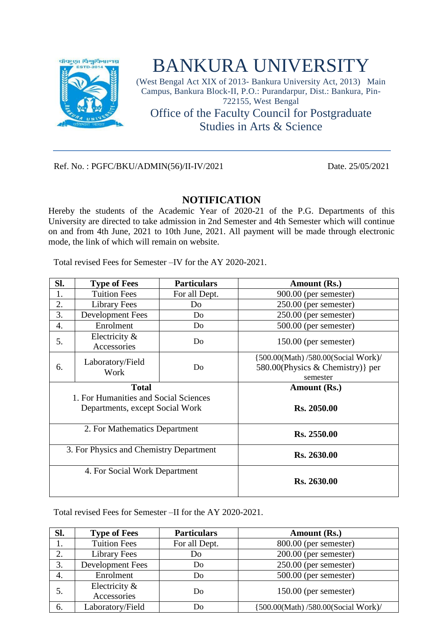

## BANKURA UNIVERSITY

(West Bengal Act XIX of 2013- Bankura University Act, 2013) Main Campus, Bankura Block-II, P.O.: Purandarpur, Dist.: Bankura, Pin-722155, West Bengal Office of the Faculty Council for Postgraduate Studies in Arts & Science

Ref. No. : PGFC/BKU/ADMIN(56)/II-IV/2021 Date. 25/05/2021

## **NOTIFICATION**

Hereby the students of the Academic Year of 2020-21 of the P.G. Departments of this University are directed to take admission in 2nd Semester and 4th Semester which will continue on and from 4th June, 2021 to 10th June, 2021. All payment will be made through electronic mode, the link of which will remain on website.

Total revised Fees for Semester –IV for the AY 2020-2021.

| Sl. | <b>Type of Fees</b>                                                      | <b>Particulars</b> | Amount (Rs.)                                                                         |
|-----|--------------------------------------------------------------------------|--------------------|--------------------------------------------------------------------------------------|
| 1.  | <b>Tuition Fees</b>                                                      | For all Dept.      | 900.00 (per semester)                                                                |
| 2.  | <b>Library Fees</b>                                                      | Do                 | $250.00$ (per semester)                                                              |
| 3.  | <b>Development Fees</b>                                                  | Do                 | 250.00 (per semester)                                                                |
| 4.  | Enrolment                                                                | Do                 | 500.00 (per semester)                                                                |
| 5.  | Electricity &<br>Accessories                                             | Do                 | $150.00$ (per semester)                                                              |
| 6.  | Laboratory/Field<br>Work                                                 | Do                 | {500.00(Math)/580.00(Social Work)/<br>580.00 (Physics & Chemistry) } per<br>semester |
|     | <b>Total</b>                                                             |                    | Amount (Rs.)                                                                         |
|     | 1. For Humanities and Social Sciences<br>Departments, except Social Work |                    | Rs. 2050.00                                                                          |
|     | 2. For Mathematics Department                                            |                    | Rs. 2550.00                                                                          |
|     | 3. For Physics and Chemistry Department                                  |                    | Rs. 2630.00                                                                          |
|     | 4. For Social Work Department                                            |                    | Rs. 2630.00                                                                          |

Total revised Fees for Semester –II for the AY 2020-2021.

| Sl. | <b>Type of Fees</b> | <b>Particulars</b> | Amount (Rs.)                       |
|-----|---------------------|--------------------|------------------------------------|
|     | <b>Tuition Fees</b> | For all Dept.      | 800.00 (per semester)              |
| 2.  | Library Fees        | Do                 | $200.00$ (per semester)            |
| 3.  | Development Fees    | Do                 | $250.00$ (per semester)            |
| 4.  | Enrolment           | Do                 | $500.00$ (per semester)            |
| 5.  | Electricity $\&$    | Do                 | $150.00$ (per semester)            |
|     | Accessories         |                    |                                    |
| 6.  | Laboratory/Field    | Do                 | {500.00(Math)/580.00(Social Work)/ |